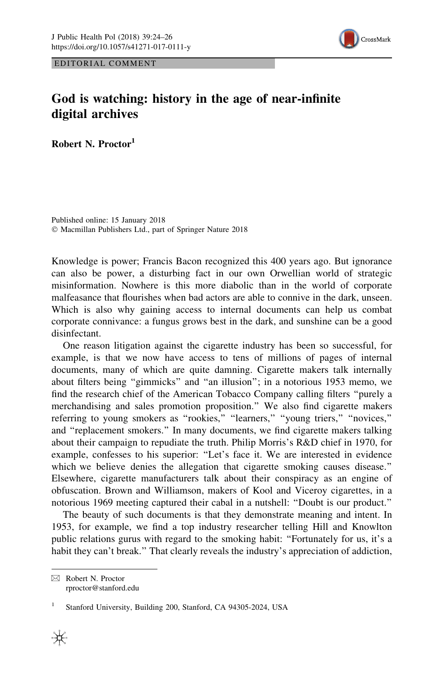

EDITORIAL COMMENT

## God is watching: history in the age of near-infinite digital archives

Robert N. Proctor1

Published online: 15 January 2018 © Macmillan Publishers Ltd., part of Springer Nature 2018

Knowledge is power; Francis Bacon recognized this 400 years ago. But ignorance can also be power, a disturbing fact in our own Orwellian world of strategic misinformation. Nowhere is this more diabolic than in the world of corporate malfeasance that flourishes when bad actors are able to connive in the dark, unseen. Which is also why gaining access to internal documents can help us combat corporate connivance: a fungus grows best in the dark, and sunshine can be a good disinfectant.

One reason litigation against the cigarette industry has been so successful, for example, is that we now have access to tens of millions of pages of internal documents, many of which are quite damning. Cigarette makers talk internally about filters being ''gimmicks'' and ''an illusion''; in a notorious 1953 memo, we find the research chief of the American Tobacco Company calling filters ''purely a merchandising and sales promotion proposition.'' We also find cigarette makers referring to young smokers as "rookies," "learners," "young triers," "novices," and ''replacement smokers.'' In many documents, we find cigarette makers talking about their campaign to repudiate the truth. Philip Morris's R&D chief in 1970, for example, confesses to his superior: ''Let's face it. We are interested in evidence which we believe denies the allegation that cigarette smoking causes disease." Elsewhere, cigarette manufacturers talk about their conspiracy as an engine of obfuscation. Brown and Williamson, makers of Kool and Viceroy cigarettes, in a notorious 1969 meeting captured their cabal in a nutshell: ''Doubt is our product.''

The beauty of such documents is that they demonstrate meaning and intent. In 1953, for example, we find a top industry researcher telling Hill and Knowlton public relations gurus with regard to the smoking habit: ''Fortunately for us, it's a habit they can't break.'' That clearly reveals the industry's appreciation of addiction,

& Robert N. Proctor rproctor@stanford.edu

Stanford University, Building 200, Stanford, CA 94305-2024, USA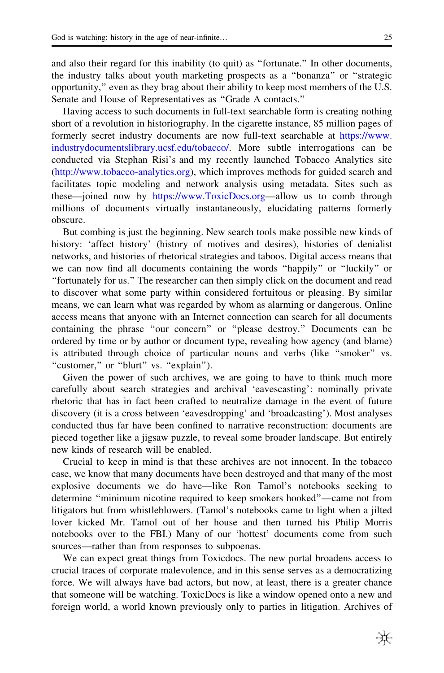and also their regard for this inability (to quit) as ''fortunate.'' In other documents, the industry talks about youth marketing prospects as a ''bonanza'' or ''strategic opportunity,'' even as they brag about their ability to keep most members of the U.S. Senate and House of Representatives as ''Grade A contacts.''

Having access to such documents in full-text searchable form is creating nothing short of a revolution in historiography. In the cigarette instance, 85 million pages of formerly secret industry documents are now full-text searchable at [https://www.](https://www.industrydocumentslibrary.ucsf.edu/tobacco/) [industrydocumentslibrary.ucsf.edu/tobacco/.](https://www.industrydocumentslibrary.ucsf.edu/tobacco/) More subtle interrogations can be conducted via Stephan Risi's and my recently launched Tobacco Analytics site [\(http://www.tobacco-analytics.org](http://www.tobacco-analytics.org)), which improves methods for guided search and facilitates topic modeling and network analysis using metadata. Sites such as these—joined now by [https://www.ToxicDocs.org—](https://www.ToxicDocs.org)allow us to comb through millions of documents virtually instantaneously, elucidating patterns formerly obscure.

But combing is just the beginning. New search tools make possible new kinds of history: 'affect history' (history of motives and desires), histories of denialist networks, and histories of rhetorical strategies and taboos. Digital access means that we can now find all documents containing the words ''happily'' or ''luckily'' or ''fortunately for us.'' The researcher can then simply click on the document and read to discover what some party within considered fortuitous or pleasing. By similar means, we can learn what was regarded by whom as alarming or dangerous. Online access means that anyone with an Internet connection can search for all documents containing the phrase ''our concern'' or ''please destroy.'' Documents can be ordered by time or by author or document type, revealing how agency (and blame) is attributed through choice of particular nouns and verbs (like ''smoker'' vs. "customer," or "blurt" vs. "explain").

Given the power of such archives, we are going to have to think much more carefully about search strategies and archival 'eavescasting': nominally private rhetoric that has in fact been crafted to neutralize damage in the event of future discovery (it is a cross between 'eavesdropping' and 'broadcasting'). Most analyses conducted thus far have been confined to narrative reconstruction: documents are pieced together like a jigsaw puzzle, to reveal some broader landscape. But entirely new kinds of research will be enabled.

Crucial to keep in mind is that these archives are not innocent. In the tobacco case, we know that many documents have been destroyed and that many of the most explosive documents we do have—like Ron Tamol's notebooks seeking to determine ''minimum nicotine required to keep smokers hooked''—came not from litigators but from whistleblowers. (Tamol's notebooks came to light when a jilted lover kicked Mr. Tamol out of her house and then turned his Philip Morris notebooks over to the FBI.) Many of our 'hottest' documents come from such sources—rather than from responses to subpoenas.

We can expect great things from Toxicdocs. The new portal broadens access to crucial traces of corporate malevolence, and in this sense serves as a democratizing force. We will always have bad actors, but now, at least, there is a greater chance that someone will be watching. ToxicDocs is like a window opened onto a new and foreign world, a world known previously only to parties in litigation. Archives of